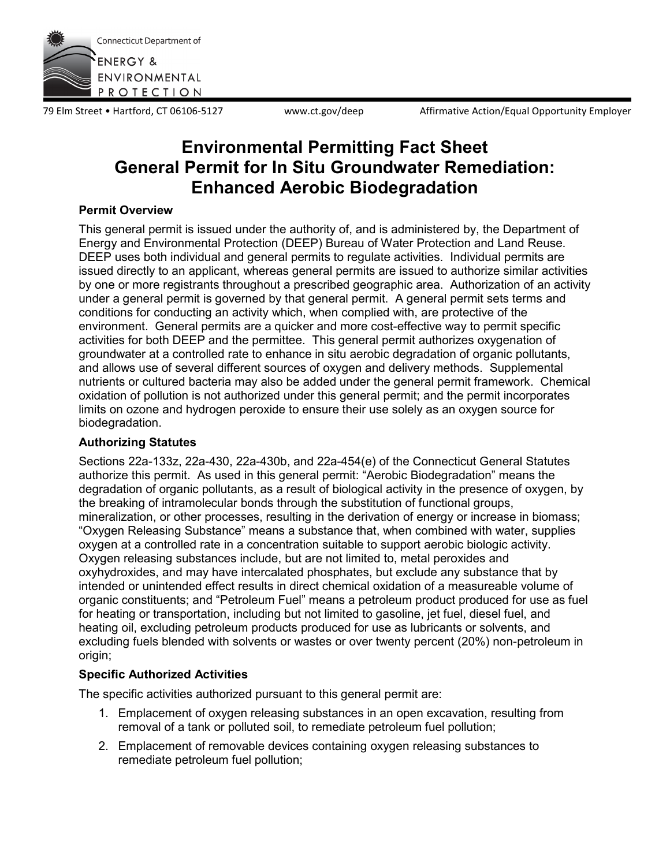

79 Elm Street • Hartford, CT 06106-5127 www.ct.gov/deep Affirmative Action/Equal Opportunity Employer

# **Environmental Permitting Fact Sheet General Permit for In Situ Groundwater Remediation: Enhanced Aerobic Biodegradation**

## **Permit Overview**

This general permit is issued under the authority of, and is administered by, the Department of Energy and Environmental Protection (DEEP) Bureau of Water Protection and Land Reuse. DEEP uses both individual and general permits to regulate activities. Individual permits are issued directly to an applicant, whereas general permits are issued to authorize similar activities by one or more registrants throughout a prescribed geographic area. Authorization of an activity under a general permit is governed by that general permit. A general permit sets terms and conditions for conducting an activity which, when complied with, are protective of the environment. General permits are a quicker and more cost-effective way to permit specific activities for both DEEP and the permittee. This general permit authorizes oxygenation of groundwater at a controlled rate to enhance in situ aerobic degradation of organic pollutants, and allows use of several different sources of oxygen and delivery methods. Supplemental nutrients or cultured bacteria may also be added under the general permit framework. Chemical oxidation of pollution is not authorized under this general permit; and the permit incorporates limits on ozone and hydrogen peroxide to ensure their use solely as an oxygen source for biodegradation.

# **Authorizing Statutes**

Sections 22a-133z, 22a-430, 22a-430b, and 22a-454(e) of the Connecticut General Statutes authorize this permit. As used in this general permit: "Aerobic Biodegradation" means the degradation of organic pollutants, as a result of biological activity in the presence of oxygen, by the breaking of intramolecular bonds through the substitution of functional groups, mineralization, or other processes, resulting in the derivation of energy or increase in biomass; "Oxygen Releasing Substance" means a substance that, when combined with water, supplies oxygen at a controlled rate in a concentration suitable to support aerobic biologic activity. Oxygen releasing substances include, but are not limited to, metal peroxides and oxyhydroxides, and may have intercalated phosphates, but exclude any substance that by intended or unintended effect results in direct chemical oxidation of a measureable volume of organic constituents; and "Petroleum Fuel" means a petroleum product produced for use as fuel for heating or transportation, including but not limited to gasoline, jet fuel, diesel fuel, and heating oil, excluding petroleum products produced for use as lubricants or solvents, and excluding fuels blended with solvents or wastes or over twenty percent (20%) non-petroleum in origin;

# **Specific Authorized Activities**

The specific activities authorized pursuant to this general permit are:

- 1. Emplacement of oxygen releasing substances in an open excavation, resulting from removal of a tank or polluted soil, to remediate petroleum fuel pollution;
- 2. Emplacement of removable devices containing oxygen releasing substances to remediate petroleum fuel pollution;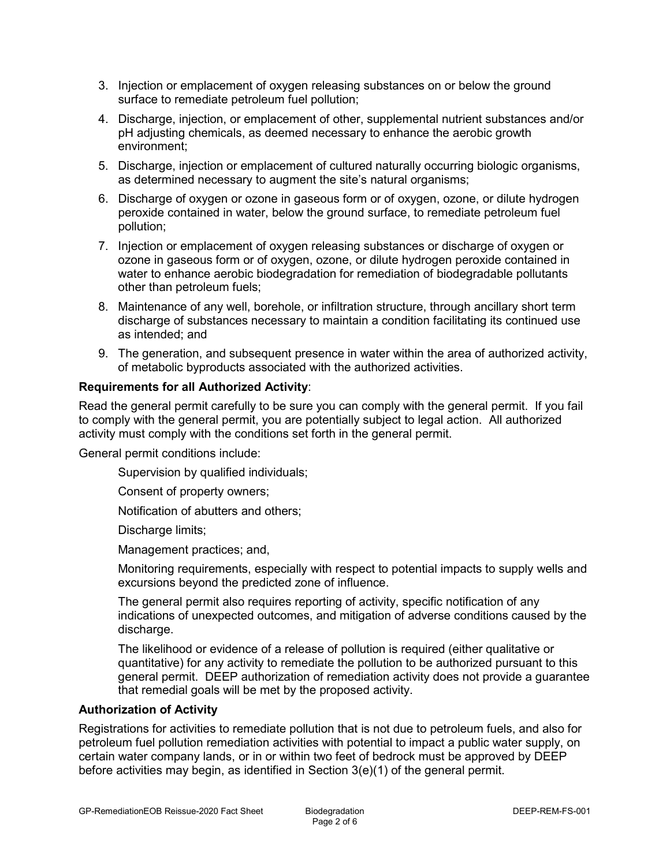- 3. Injection or emplacement of oxygen releasing substances on or below the ground surface to remediate petroleum fuel pollution;
- 4. Discharge, injection, or emplacement of other, supplemental nutrient substances and/or pH adjusting chemicals, as deemed necessary to enhance the aerobic growth environment;
- 5. Discharge, injection or emplacement of cultured naturally occurring biologic organisms, as determined necessary to augment the site's natural organisms;
- 6. Discharge of oxygen or ozone in gaseous form or of oxygen, ozone, or dilute hydrogen peroxide contained in water, below the ground surface, to remediate petroleum fuel pollution;
- 7. Injection or emplacement of oxygen releasing substances or discharge of oxygen or ozone in gaseous form or of oxygen, ozone, or dilute hydrogen peroxide contained in water to enhance aerobic biodegradation for remediation of biodegradable pollutants other than petroleum fuels;
- 8. Maintenance of any well, borehole, or infiltration structure, through ancillary short term discharge of substances necessary to maintain a condition facilitating its continued use as intended; and
- 9. The generation, and subsequent presence in water within the area of authorized activity, of metabolic byproducts associated with the authorized activities.

## **Requirements for all Authorized Activity**:

Read the general permit carefully to be sure you can comply with the general permit. If you fail to comply with the general permit, you are potentially subject to legal action. All authorized activity must comply with the conditions set forth in the general permit.

General permit conditions include:

Supervision by qualified individuals;

Consent of property owners;

Notification of abutters and others;

Discharge limits;

Management practices; and,

Monitoring requirements, especially with respect to potential impacts to supply wells and excursions beyond the predicted zone of influence.

The general permit also requires reporting of activity, specific notification of any indications of unexpected outcomes, and mitigation of adverse conditions caused by the discharge.

The likelihood or evidence of a release of pollution is required (either qualitative or quantitative) for any activity to remediate the pollution to be authorized pursuant to this general permit. DEEP authorization of remediation activity does not provide a guarantee that remedial goals will be met by the proposed activity.

## **Authorization of Activity**

Registrations for activities to remediate pollution that is not due to petroleum fuels, and also for petroleum fuel pollution remediation activities with potential to impact a public water supply, on certain water company lands, or in or within two feet of bedrock must be approved by DEEP before activities may begin, as identified in Section 3(e)(1) of the general permit.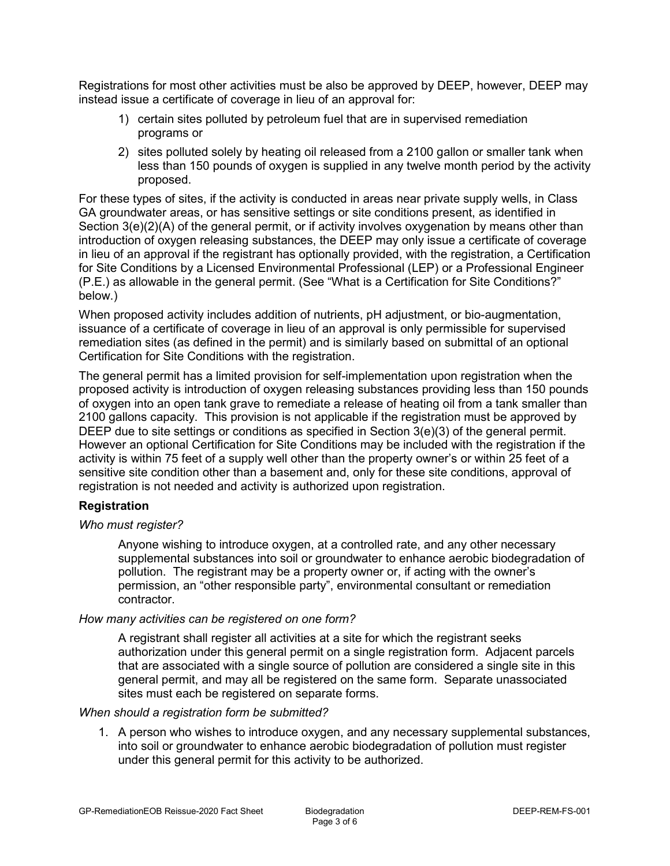Registrations for most other activities must be also be approved by DEEP, however, DEEP may instead issue a certificate of coverage in lieu of an approval for:

- 1) certain sites polluted by petroleum fuel that are in supervised remediation programs or
- 2) sites polluted solely by heating oil released from a 2100 gallon or smaller tank when less than 150 pounds of oxygen is supplied in any twelve month period by the activity proposed.

For these types of sites, if the activity is conducted in areas near private supply wells, in Class GA groundwater areas, or has sensitive settings or site conditions present, as identified in Section 3(e)(2)(A) of the general permit, or if activity involves oxygenation by means other than introduction of oxygen releasing substances, the DEEP may only issue a certificate of coverage in lieu of an approval if the registrant has optionally provided, with the registration, a Certification for Site Conditions by a Licensed Environmental Professional (LEP) or a Professional Engineer (P.E.) as allowable in the general permit. (See "What is a Certification for Site Conditions?" below.)

When proposed activity includes addition of nutrients, pH adjustment, or bio-augmentation, issuance of a certificate of coverage in lieu of an approval is only permissible for supervised remediation sites (as defined in the permit) and is similarly based on submittal of an optional Certification for Site Conditions with the registration.

The general permit has a limited provision for self-implementation upon registration when the proposed activity is introduction of oxygen releasing substances providing less than 150 pounds of oxygen into an open tank grave to remediate a release of heating oil from a tank smaller than 2100 gallons capacity. This provision is not applicable if the registration must be approved by DEEP due to site settings or conditions as specified in Section 3(e)(3) of the general permit. However an optional Certification for Site Conditions may be included with the registration if the activity is within 75 feet of a supply well other than the property owner's or within 25 feet of a sensitive site condition other than a basement and, only for these site conditions, approval of registration is not needed and activity is authorized upon registration.

## **Registration**

#### *Who must register?*

Anyone wishing to introduce oxygen, at a controlled rate, and any other necessary supplemental substances into soil or groundwater to enhance aerobic biodegradation of pollution. The registrant may be a property owner or, if acting with the owner's permission, an "other responsible party", environmental consultant or remediation contractor.

#### *How many activities can be registered on one form?*

A registrant shall register all activities at a site for which the registrant seeks authorization under this general permit on a single registration form. Adjacent parcels that are associated with a single source of pollution are considered a single site in this general permit, and may all be registered on the same form. Separate unassociated sites must each be registered on separate forms.

#### *When should a registration form be submitted?*

1. A person who wishes to introduce oxygen, and any necessary supplemental substances, into soil or groundwater to enhance aerobic biodegradation of pollution must register under this general permit for this activity to be authorized.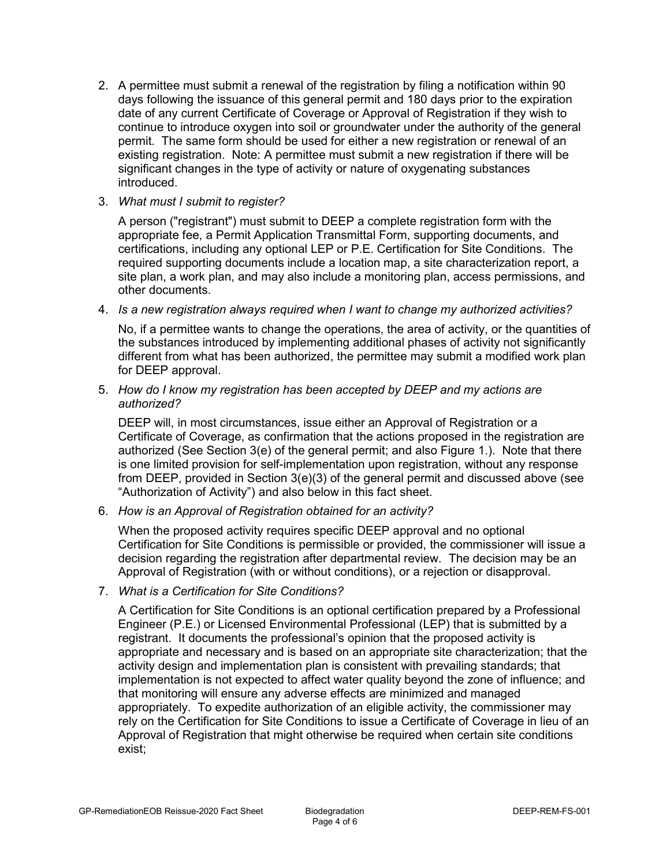2. A permittee must submit a renewal of the registration by filing a notification within 90 days following the issuance of this general permit and 180 days prior to the expiration date of any current Certificate of Coverage or Approval of Registration if they wish to continue to introduce oxygen into soil or groundwater under the authority of the general permit. The same form should be used for either a new registration or renewal of an existing registration. Note: A permittee must submit a new registration if there will be significant changes in the type of activity or nature of oxygenating substances introduced.

## 3. *What must I submit to register?*

A person ("registrant") must submit to DEEP a complete registration form with the appropriate fee, a Permit Application Transmittal Form, supporting documents, and certifications, including any optional LEP or P.E. Certification for Site Conditions. The required supporting documents include a location map, a site characterization report, a site plan, a work plan, and may also include a monitoring plan, access permissions, and other documents.

#### 4. *Is a new registration always required when I want to change my authorized activities?*

No, if a permittee wants to change the operations, the area of activity, or the quantities of the substances introduced by implementing additional phases of activity not significantly different from what has been authorized, the permittee may submit a modified work plan for DEEP approval.

#### 5. *How do I know my registration has been accepted by DEEP and my actions are authorized?*

DEEP will, in most circumstances, issue either an Approval of Registration or a Certificate of Coverage, as confirmation that the actions proposed in the registration are authorized (See Section 3(e) of the general permit; and also Figure 1.). Note that there is one limited provision for self-implementation upon registration, without any response from DEEP, provided in Section  $3(e)(3)$  of the general permit and discussed above (see "Authorization of Activity") and also below in this fact sheet.

## 6. *How is an Approval of Registration obtained for an activity?*

When the proposed activity requires specific DEEP approval and no optional Certification for Site Conditions is permissible or provided, the commissioner will issue a decision regarding the registration after departmental review. The decision may be an Approval of Registration (with or without conditions), or a rejection or disapproval.

#### 7. *What is a Certification for Site Conditions?*

A Certification for Site Conditions is an optional certification prepared by a Professional Engineer (P.E.) or Licensed Environmental Professional (LEP) that is submitted by a registrant. It documents the professional's opinion that the proposed activity is appropriate and necessary and is based on an appropriate site characterization; that the activity design and implementation plan is consistent with prevailing standards; that implementation is not expected to affect water quality beyond the zone of influence; and that monitoring will ensure any adverse effects are minimized and managed appropriately. To expedite authorization of an eligible activity, the commissioner may rely on the Certification for Site Conditions to issue a Certificate of Coverage in lieu of an Approval of Registration that might otherwise be required when certain site conditions exist;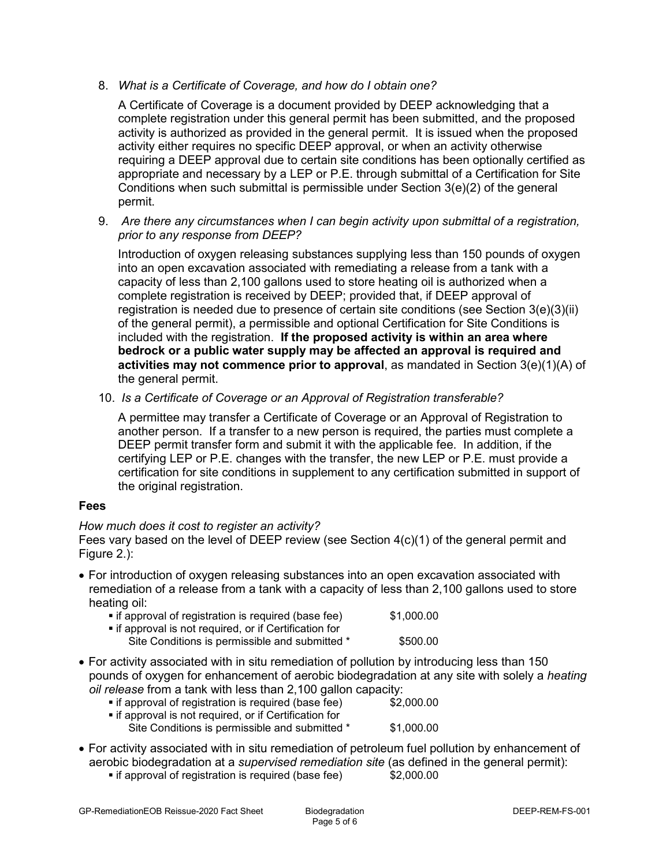8. *What is a Certificate of Coverage, and how do I obtain one?* 

A Certificate of Coverage is a document provided by DEEP acknowledging that a complete registration under this general permit has been submitted, and the proposed activity is authorized as provided in the general permit. It is issued when the proposed activity either requires no specific DEEP approval, or when an activity otherwise requiring a DEEP approval due to certain site conditions has been optionally certified as appropriate and necessary by a LEP or P.E. through submittal of a Certification for Site Conditions when such submittal is permissible under Section 3(e)(2) of the general permit.

9. *Are there any circumstances when I can begin activity upon submittal of a registration, prior to any response from DEEP?* 

Introduction of oxygen releasing substances supplying less than 150 pounds of oxygen into an open excavation associated with remediating a release from a tank with a capacity of less than 2,100 gallons used to store heating oil is authorized when a complete registration is received by DEEP; provided that, if DEEP approval of registration is needed due to presence of certain site conditions (see Section 3(e)(3)(ii) of the general permit), a permissible and optional Certification for Site Conditions is included with the registration. **If the proposed activity is within an area where bedrock or a public water supply may be affected an approval is required and activities may not commence prior to approval**, as mandated in Section 3(e)(1)(A) of the general permit.

10. *Is a Certificate of Coverage or an Approval of Registration transferable?* 

A permittee may transfer a Certificate of Coverage or an Approval of Registration to another person. If a transfer to a new person is required, the parties must complete a DEEP permit transfer form and submit it with the applicable fee. In addition, if the certifying LEP or P.E. changes with the transfer, the new LEP or P.E. must provide a certification for site conditions in supplement to any certification submitted in support of the original registration.

# **Fees**

# *How much does it cost to register an activity?*

Fees vary based on the level of DEEP review (see Section 4(c)(1) of the general permit and Figure 2.):

• For introduction of oxygen releasing substances into an open excavation associated with remediation of a release from a tank with a capacity of less than 2,100 gallons used to store heating oil:

| t if approval of registration is required (base fee)   | \$1,000.00 |
|--------------------------------------------------------|------------|
| • if approval is not required, or if Certification for |            |
| Site Conditions is permissible and submitted *         | \$500.00   |

• For activity associated with in situ remediation of pollution by introducing less than 150 pounds of oxygen for enhancement of aerobic biodegradation at any site with solely a *heating oil release* from a tank with less than 2,100 gallon capacity:

| • if approval of registration is required (base fee)   | \$2,000.00 |
|--------------------------------------------------------|------------|
| • if approval is not required, or if Certification for |            |
| Site Conditions is permissible and submitted *         | \$1,000.00 |

• For activity associated with in situ remediation of petroleum fuel pollution by enhancement of aerobic biodegradation at a *supervised remediation site* (as defined in the general permit): **• if approval of registration is required (base fee)**